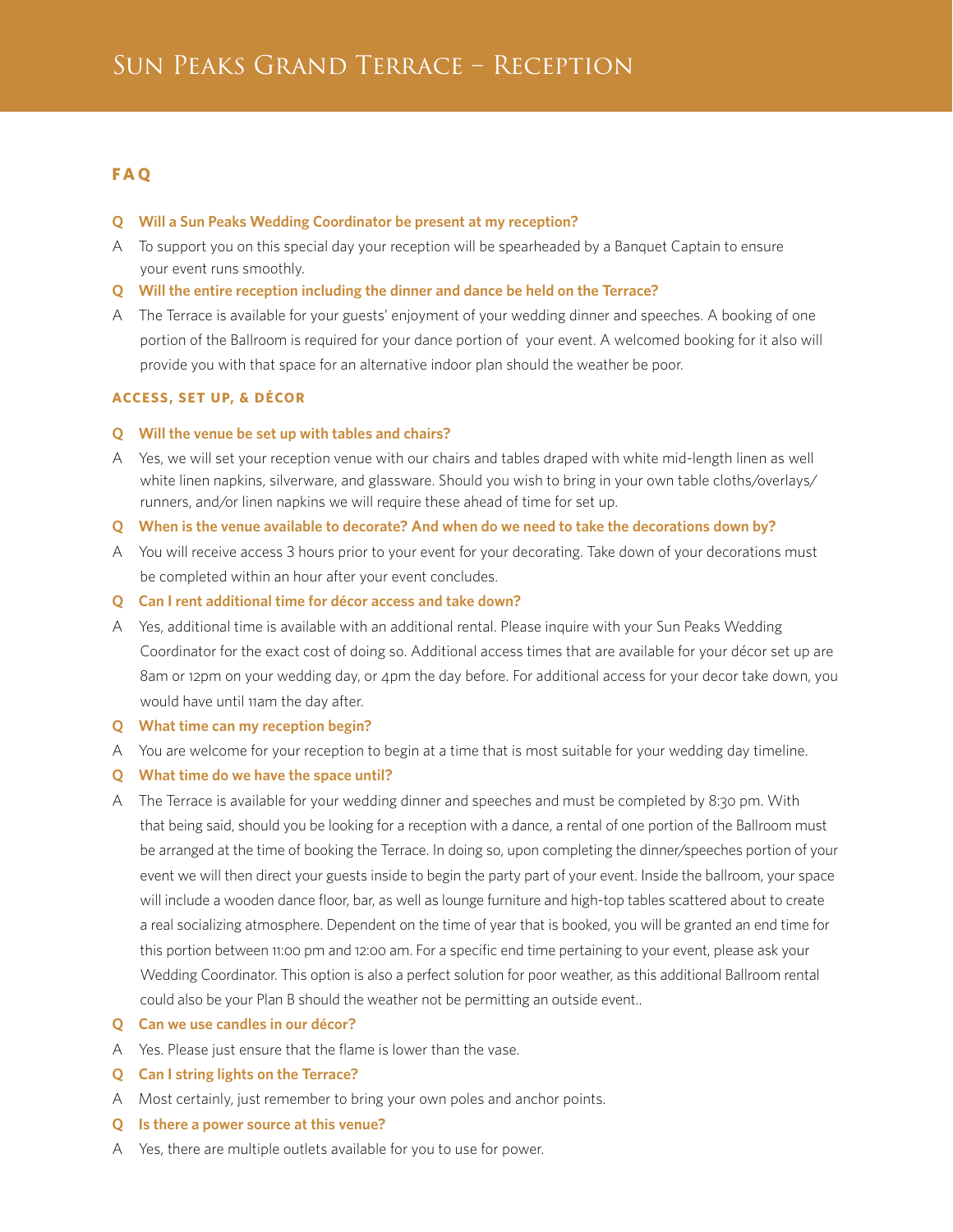# **F A Q**

- **Q Will a Sun Peaks Wedding Coordinator be present at my reception?**
- A To support you on this special day your reception will be spearheaded by a Banquet Captain to ensure your event runs smoothly.
- **Q Will the entire reception including the dinner and dance be held on the Terrace?**
- A The Terrace is available for your guests' enjoyment of your wedding dinner and speeches. A booking of one portion of the Ballroom is required for your dance portion of your event. A welcomed booking for it also will provide you with that space for an alternative indoor plan should the weather be poor.

# **ACCESS, SET UP, & DÉCOR**

- **Q Will the venue be set up with tables and chairs?**
- A Yes, we will set your reception venue with our chairs and tables draped with white mid-length linen as well white linen napkins, silverware, and glassware. Should you wish to bring in your own table cloths/overlays/ runners, and/or linen napkins we will require these ahead of time for set up.
- **Q When is the venue available to decorate? And when do we need to take the decorations down by?**
- A You will receive access 3 hours prior to your event for your decorating. Take down of your decorations must be completed within an hour after your event concludes.
- **Q Can I rent additional time for décor access and take down?**
- A Yes, additional time is available with an additional rental. Please inquire with your Sun Peaks Wedding Coordinator for the exact cost of doing so. Additional access times that are available for your décor set up are 8am or 12pm on your wedding day, or 4pm the day before. For additional access for your decor take down, you would have until 11am the day after.
- **Q What time can my reception begin?**
- A You are welcome for your reception to begin at a time that is most suitable for your wedding day timeline.
- **Q What time do we have the space until?**
- A The Terrace is available for your wedding dinner and speeches and must be completed by 8:30 pm. With that being said, should you be looking for a reception with a dance, a rental of one portion of the Ballroom must be arranged at the time of booking the Terrace. In doing so, upon completing the dinner/speeches portion of your event we will then direct your guests inside to begin the party part of your event. Inside the ballroom, your space will include a wooden dance floor, bar, as well as lounge furniture and high-top tables scattered about to create a real socializing atmosphere. Dependent on the time of year that is booked, you will be granted an end time for this portion between 11:00 pm and 12:00 am. For a specific end time pertaining to your event, please ask your Wedding Coordinator. This option is also a perfect solution for poor weather, as this additional Ballroom rental could also be your Plan B should the weather not be permitting an outside event..
- **Q Can we use candles in our décor?**
- A Yes. Please just ensure that the flame is lower than the vase.
- **Q Can I string lights on the Terrace?**
- A Most certainly, just remember to bring your own poles and anchor points.
- **Q Is there a power source at this venue?**
- A Yes, there are multiple outlets available for you to use for power.